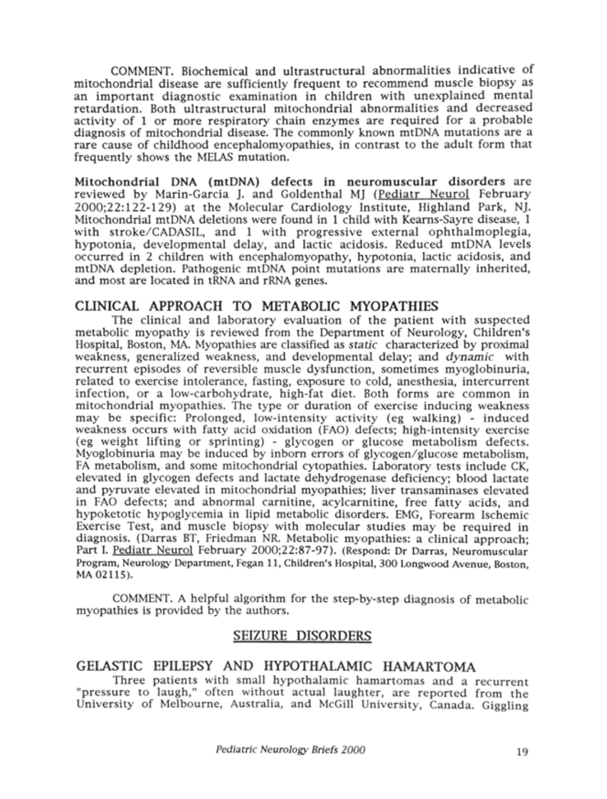COMMENT. Biochemical and ultrastructural abnormalities indicative of mitochondrial disease are sufficiently frequent to recommend muscle biopsy as an important diagnostic examination in children with unexplained mental retardation. Both ultrastructural mitochondrial abnormalities and decreased activity of <sup>1</sup> or more respiratory chain enzymes are required for a probable diagnosis of mitochondrial disease. The commonly known mtDNA mutations are a rare cause of childhood encephalomyopathies, in contrast to the adult form that frequently shows the MELAS mutation.

Mitochondrial DNA (mtDNA) defects in neuromuscular disorders are reviewed by Marin-Garcia J. and Goldenthal MJ (Pediatr Neurol February 2000;22:122-129) at the Molecular Cardiology Institute, Highland Park, NJ. Mitochondrial mtDNA deletions were found in <sup>1</sup> child with Kearns-Sayre disease, <sup>1</sup> with stroke/CADASIL, and <sup>1</sup> with progressive external ophthalmoplegia, hypotonia, developmental delay, and lactic acidosis. Reduced mtDNA levels occurred in <sup>2</sup> children with encephalomyopathy, hypotonia, lactic acidosis, and mtDNA depletion. Pathogenic mtDNA point mutations are maternally inherited, and most are located in tRNA and rRNA genes.

## CLINICAL APPROACH TO METABOLIC MYOPATHIES

The clinical and laboratory evaluation of the patient with suspected metabolic myopathy is reviewed from the Department of Neurology, Children's Hospital, Boston, MA. Myopathies are classified as static characterized by proximal weakness, generalized weakness, and developmental, delay; and dynamic with recurrent episodes of reversible muscle dysfunction, sometimes myoglobinuria, related to exercise intolerance, fasting, exposure to cold, anesthesia, intercurrent infection, or a low-carbohydrate, high-fat diet. Both forms are common in mitochondrial myopathies. The type or duration of exercise inducing weakness may be specific: Prolonged, low-intensity activity (eg walking) - induced weakness occurs with fatty acid oxidation (FAO) defects; high-intensity exercise (eg weight lifting or sprinting) - glycogen or glucose metabolism defects. Myoglobinuria may be induced by inborn errors of glycogen/glucose metabolism, FA metabolism, and some mitochondrial cytopathies. Laboratory tests include CK, elevated in glycogen defects and lactate dehydrogenase deficiency; blood lactate and pyruvate elevated in mitochondrial myopathies; liver transaminases elevated in FAO defects; and abnormal carnitine, acylcarnitine, free fatty acids, and hypoketotic hypoglycemia in lipid metabolic disorders. EMG, Forearm Ischemic Exercise Test, and muscle biopsy with molecular studies may be required in diagnosis. (Darras BT, Friedman NR. Metabolic myopathies: a clinical approach; Part I. Pediatr Neurol February 2000;22:87-97). (Respond: Dr Darras, Neuromuscular Program, Neurology Department, Fegan 11, Children's Hospital, 300 Longwood Avenue, Boston, MA 02115).

COMMENT. A helpful algorithm for the step-by-step diagnosis of metabolic myopathies is provided by the authors.

## SEIZURE DISORDERS

## GELASTIC EPILEPSY AND HYPOTHALAMIC HAMARTOMA

Three patients with small hypothalamic hamartomas and a recurrent "pressure to laugh," often without actual laughter, are reported from the University of Melbourne, Australia, and McGill University, Canada. Giggling